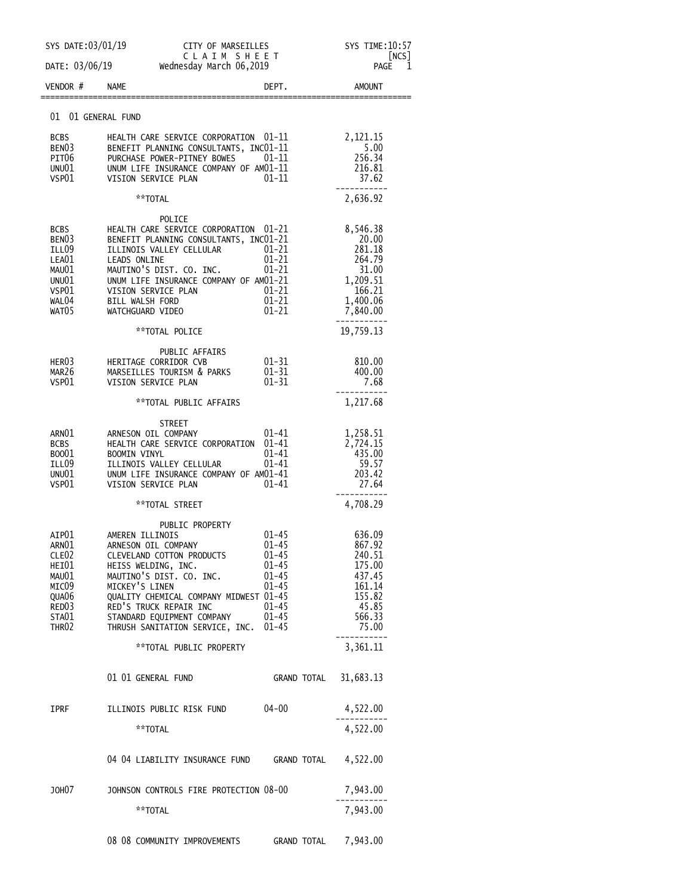| SYS DATE:03/01/19                                                                                              | CITY OF MARSEILLES<br>CLAIM SHEET                                                                                                                                                                                                                                                                       |                                                                                                               | SYS TIME:10:57<br>NCS                                                                          |
|----------------------------------------------------------------------------------------------------------------|---------------------------------------------------------------------------------------------------------------------------------------------------------------------------------------------------------------------------------------------------------------------------------------------------------|---------------------------------------------------------------------------------------------------------------|------------------------------------------------------------------------------------------------|
| DATE: 03/06/19                                                                                                 | Wednesday March 06,2019                                                                                                                                                                                                                                                                                 |                                                                                                               | 1<br>PAGE                                                                                      |
| VENDOR #                                                                                                       | <b>NAME</b>                                                                                                                                                                                                                                                                                             | DEPT.                                                                                                         | <b>AMOUNT</b>                                                                                  |
| 01                                                                                                             | 01 GENERAL FUND                                                                                                                                                                                                                                                                                         |                                                                                                               |                                                                                                |
| <b>BCBS</b><br>BEN <sub>03</sub><br>PIT06<br>UNU01<br>VSP01                                                    | HEALTH CARE SERVICE CORPORATION<br>BENEFIT PLANNING CONSULTANTS, INC01-11<br>PURCHASE POWER-PITNEY BOWES<br>UNUM LIFE INSURANCE COMPANY OF AM01-11<br>VISION SERVICE PLAN                                                                                                                               | $01 - 11$<br>$01 - 11$<br>$01 - 11$                                                                           | 2,121.15<br>5.00<br>256.34<br>216.81<br>37.62                                                  |
|                                                                                                                | **TOTAL                                                                                                                                                                                                                                                                                                 |                                                                                                               | 2,636.92                                                                                       |
| BCBS<br>BEN <sub>03</sub><br>ILL09<br>LEA01<br>MAU01<br>UNU01<br>VSP01<br>WAL04<br>WAT05                       | POLICE<br>HEALTH CARE SERVICE CORPORATION<br>BENEFIT PLANNING CONSULTANTS, INC01-21<br>ILLINOIS VALLEY CELLULAR<br><b>LEADS ONLINE</b><br>MAUTINO'S DIST. CO. INC.<br>UNUM LIFE INSURANCE COMPANY OF AM01-21<br>VISION SERVICE PLAN<br><b>BILL WALSH FORD</b><br>WATCHGUARD VIDEO                       | 01-21<br>01-21<br>$01 - 21$<br>$01 - 21$<br>01-21<br>$01 - 21$<br>01-21                                       | 8,546.38<br>20.00<br>281.18<br>264.79<br>31.00<br>1,209.51<br>166.21<br>1,400.06<br>7,840.00   |
|                                                                                                                | **TOTAL POLICE                                                                                                                                                                                                                                                                                          |                                                                                                               | 19,759.13                                                                                      |
| HER03<br>MAR26<br>VSP01                                                                                        | PUBLIC AFFAIRS<br>HERITAGE CORRIDOR CVB<br>MARSEILLES TOURISM & PARKS<br>VISION SERVICE PLAN                                                                                                                                                                                                            | $01 - 31$<br>$01 - 31$<br>$01 - 31$                                                                           | 810.00<br>400.00<br>7.68                                                                       |
|                                                                                                                | **TOTAL PUBLIC AFFAIRS                                                                                                                                                                                                                                                                                  |                                                                                                               | 1,217.68                                                                                       |
| ARNO1<br><b>BCBS</b><br>B0001<br>ILL09<br>UNU01<br>VSP01                                                       | STREET<br>ARNESON OIL COMPANY<br>HEALTH CARE SERVICE CORPORATION<br><b>BOOMIN VINYL</b><br>ILLINOIS VALLEY CELLULAR<br>UNUM LIFE INSURANCE COMPANY OF AM01-41<br>VISION SERVICE PLAN                                                                                                                    | 01-41<br>$01 - 41$<br>01-41<br>01-41<br>01-41                                                                 | 1,258.51<br>2,724.15<br>435.00<br>59.57<br>203.42<br>27.64                                     |
|                                                                                                                | **TOTAL STREET                                                                                                                                                                                                                                                                                          |                                                                                                               | 4,708.29                                                                                       |
| AIP01<br>ARN01<br>CLE <sub>02</sub><br>HEI01<br>MAU01<br>MICO9<br>QUA06<br>RED03<br>STA01<br>THR <sub>02</sub> | PUBLIC PROPERTY<br>AMEREN ILLINOIS<br>ARNESON OIL COMPANY<br><b>CLEVELAND COTTON PRODUCTS</b><br>HEISS WELDING, INC.<br>MAUTINO'S DIST. CO. INC.<br>MICKEY'S LINEN<br>QUALITY CHEMICAL COMPANY MIDWEST 01-45<br>RED'S TRUCK REPAIR INC<br>STANDARD EQUIPMENT COMPANY<br>THRUSH SANITATION SERVICE, INC. | $01 - 45$<br>$01 - 45$<br>$01 - 45$<br>$01 - 45$<br>$01 - 45$<br>01-45<br>$01 - 45$<br>$01 - 45$<br>$01 - 45$ | 636.09<br>867.92<br>240.51<br>175.00<br>437.45<br>161.14<br>155.82<br>45.85<br>566.33<br>75.00 |
|                                                                                                                | **TOTAL PUBLIC PROPERTY                                                                                                                                                                                                                                                                                 |                                                                                                               | 3,361.11                                                                                       |
|                                                                                                                | 01 01 GENERAL FUND                                                                                                                                                                                                                                                                                      | GRAND TOTAL 31,683.13                                                                                         |                                                                                                |
| IPRF                                                                                                           | ILLINOIS PUBLIC RISK FUND                                                                                                                                                                                                                                                                               | 04-00                                                                                                         | 4,522.00                                                                                       |
|                                                                                                                | **TOTAL                                                                                                                                                                                                                                                                                                 |                                                                                                               | 4,522.00                                                                                       |
|                                                                                                                | 04 04 LIABILITY INSURANCE FUND GRAND TOTAL                                                                                                                                                                                                                                                              |                                                                                                               | 4,522.00                                                                                       |
| JOH07                                                                                                          | JOHNSON CONTROLS FIRE PROTECTION 08-00                                                                                                                                                                                                                                                                  |                                                                                                               | 7,943.00                                                                                       |
|                                                                                                                | **TOTAL                                                                                                                                                                                                                                                                                                 |                                                                                                               | 7,943.00                                                                                       |
|                                                                                                                | 08 08 COMMUNITY IMPROVEMENTS GRAND TOTAL 7,943.00                                                                                                                                                                                                                                                       |                                                                                                               |                                                                                                |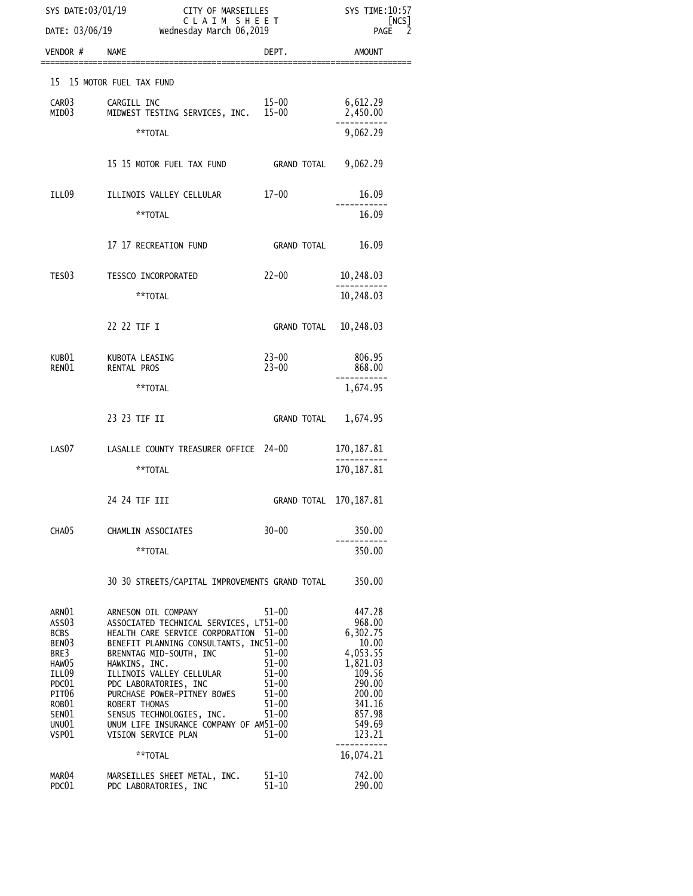| SYS DATE:03/01/19<br>DATE: 03/06/19                                                                                                                        |                                                | CITY OF MARSEILLES<br>CLAIM SHEET                                                                                                                                                                                                                                                                                                                       |                                                                                                                        | SYS TIME: 10:57<br>[NCS]<br>2<br><b>PAGE</b>                                                                                        |
|------------------------------------------------------------------------------------------------------------------------------------------------------------|------------------------------------------------|---------------------------------------------------------------------------------------------------------------------------------------------------------------------------------------------------------------------------------------------------------------------------------------------------------------------------------------------------------|------------------------------------------------------------------------------------------------------------------------|-------------------------------------------------------------------------------------------------------------------------------------|
| VENDOR #                                                                                                                                                   | <b>NAME</b>                                    |                                                                                                                                                                                                                                                                                                                                                         | wednesday March 06,2019<br>DEPT.                                                                                       |                                                                                                                                     |
|                                                                                                                                                            |                                                |                                                                                                                                                                                                                                                                                                                                                         |                                                                                                                        | AMOUNT                                                                                                                              |
| 15 15 MOTOR FUEL TAX FUND                                                                                                                                  |                                                |                                                                                                                                                                                                                                                                                                                                                         |                                                                                                                        |                                                                                                                                     |
| CAR <sub>03</sub><br>MIDO3                                                                                                                                 | CARGILL INC                                    | MIDWEST TESTING SERVICES, INC. 15-00                                                                                                                                                                                                                                                                                                                    | 15-00                                                                                                                  | 6,612.29<br>2,450.00                                                                                                                |
|                                                                                                                                                            |                                                | **TOTAL                                                                                                                                                                                                                                                                                                                                                 |                                                                                                                        | 9,062.29                                                                                                                            |
|                                                                                                                                                            |                                                | 15 15 MOTOR FUEL TAX FUND                                                                                                                                                                                                                                                                                                                               | GRAND TOTAL                                                                                                            | 9,062.29                                                                                                                            |
| ILL09                                                                                                                                                      |                                                | ILLINOIS VALLEY CELLULAR                                                                                                                                                                                                                                                                                                                                | $17 - 00$                                                                                                              | 16.09                                                                                                                               |
|                                                                                                                                                            |                                                | **TOTAL                                                                                                                                                                                                                                                                                                                                                 |                                                                                                                        | 16.09                                                                                                                               |
|                                                                                                                                                            |                                                | 17 17 RECREATION FUND                                                                                                                                                                                                                                                                                                                                   | GRAND TOTAL                                                                                                            | 16.09                                                                                                                               |
| TES03                                                                                                                                                      |                                                | <b>TESSCO INCORPORATED</b>                                                                                                                                                                                                                                                                                                                              | $22 - 00$                                                                                                              | 10,248.03                                                                                                                           |
|                                                                                                                                                            |                                                | **TOTAL                                                                                                                                                                                                                                                                                                                                                 |                                                                                                                        | 10,248.03                                                                                                                           |
|                                                                                                                                                            | 22 22 TIF I                                    |                                                                                                                                                                                                                                                                                                                                                         | <b>GRAND TOTAL</b>                                                                                                     | 10,248.03                                                                                                                           |
| KUB01<br>RENO1                                                                                                                                             | KUBOTA LEASING<br><b>RENTAL PROS</b>           |                                                                                                                                                                                                                                                                                                                                                         | $23 - 00$<br>$23 - 00$                                                                                                 | 806.95<br>868.00                                                                                                                    |
|                                                                                                                                                            |                                                | **TOTAL                                                                                                                                                                                                                                                                                                                                                 |                                                                                                                        | 1,674.95                                                                                                                            |
|                                                                                                                                                            | 23 23 TIF II                                   |                                                                                                                                                                                                                                                                                                                                                         | GRAND TOTAL                                                                                                            | 1,674.95                                                                                                                            |
| LAS <sub>07</sub>                                                                                                                                          |                                                | LASALLE COUNTY TREASURER OFFICE 24-00                                                                                                                                                                                                                                                                                                                   |                                                                                                                        | 170, 187.81                                                                                                                         |
|                                                                                                                                                            |                                                | **TOTAL                                                                                                                                                                                                                                                                                                                                                 |                                                                                                                        | 170, 187.81                                                                                                                         |
|                                                                                                                                                            | 24 24 TIF III                                  |                                                                                                                                                                                                                                                                                                                                                         | GRAND TOTAL 170, 187.81                                                                                                |                                                                                                                                     |
| CHA05                                                                                                                                                      |                                                | CHAMLIN ASSOCIATES                                                                                                                                                                                                                                                                                                                                      | $30 - 00$                                                                                                              | 350.00                                                                                                                              |
|                                                                                                                                                            |                                                | **TOTAL                                                                                                                                                                                                                                                                                                                                                 |                                                                                                                        | 350.00                                                                                                                              |
|                                                                                                                                                            | 30 30 STREETS/CAPITAL IMPROVEMENTS GRAND TOTAL |                                                                                                                                                                                                                                                                                                                                                         |                                                                                                                        | 350.00                                                                                                                              |
| ARNO1<br>ASS03<br><b>BCBS</b><br>BEN <sub>03</sub><br>BRE3<br>HAW <sub>05</sub><br>ILL09<br>PDC01<br>PIT <sub>06</sub><br>ROB01<br>SEN01<br>UNU01<br>VSP01 | HAWKINS, INC.<br><b>ROBERT THOMAS</b>          | ARNESON OIL COMPANY<br>ASSOCIATED TECHNICAL SERVICES, LT51-00<br>HEALTH CARE SERVICE CORPORATION<br>BENEFIT PLANNING CONSULTANTS, INC51-00<br>BRENNTAG MID-SOUTH, INC<br>ILLINOIS VALLEY CELLULAR<br>PDC LABORATORIES, INC<br>PURCHASE POWER-PITNEY BOWES<br>SENSUS TECHNOLOGIES, INC.<br>UNUM LIFE INSURANCE COMPANY OF AM51-00<br>VISION SERVICE PLAN | $51 - 00$<br>51-00<br>$51 - 00$<br>$51 - 00$<br>$51 - 00$<br>$51 - 00$<br>$51 - 00$<br>$51 - 00$<br>$51 - 00$<br>51-00 | 447.28<br>968.00<br>6,302.75<br>10.00<br>4,053.55<br>1,821.03<br>109.56<br>290.00<br>200.00<br>341.16<br>857.98<br>549.69<br>123.21 |
|                                                                                                                                                            |                                                | **TOTAL                                                                                                                                                                                                                                                                                                                                                 |                                                                                                                        | 16,074.21                                                                                                                           |
| MAR04<br>PDC01                                                                                                                                             |                                                | MARSEILLES SHEET METAL, INC.<br>PDC LABORATORIES, INC                                                                                                                                                                                                                                                                                                   | 51-10<br>$51 - 10$                                                                                                     | 742.00<br>290.00                                                                                                                    |